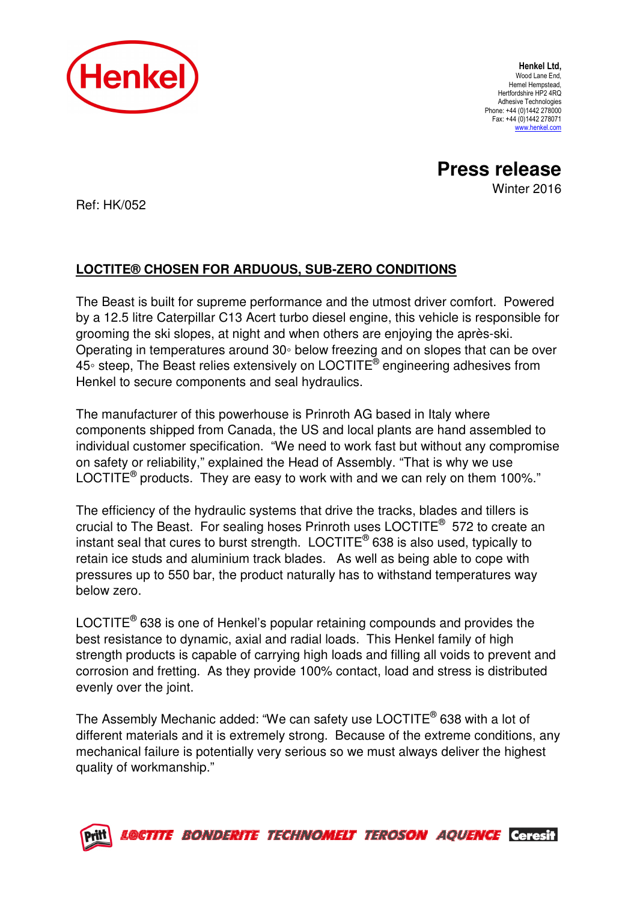

Henkel Ltd, Wood Lane End, Hemel Hempstead, Hertfordshire HP2 4RQ Adhesive Technologies Phone: +44 (0)1442 278000 Fax: +44 (0)1442 278071 www.henkel.com

**Press release**  Winter 2016

Ref: HK/052

## **LOCTITE® CHOSEN FOR ARDUOUS, SUB-ZERO CONDITIONS**

The Beast is built for supreme performance and the utmost driver comfort. Powered by a 12.5 litre Caterpillar C13 Acert turbo diesel engine, this vehicle is responsible for grooming the ski slopes, at night and when others are enjoying the après-ski. Operating in temperatures around 30◦ below freezing and on slopes that can be over 45∘ steep, The Beast relies extensively on LOCTITE® engineering adhesives from Henkel to secure components and seal hydraulics.

The manufacturer of this powerhouse is Prinroth AG based in Italy where components shipped from Canada, the US and local plants are hand assembled to individual customer specification. "We need to work fast but without any compromise on safety or reliability," explained the Head of Assembly. "That is why we use LOCTITE<sup>®</sup> products. They are easy to work with and we can rely on them 100%."

The efficiency of the hydraulic systems that drive the tracks, blades and tillers is crucial to The Beast. For sealing hoses Prinroth uses LOCTITE® 572 to create an instant seal that cures to burst strength.  $\mathsf{LOCTITE}^\circledast$  638 is also used, typically to retain ice studs and aluminium track blades. As well as being able to cope with pressures up to 550 bar, the product naturally has to withstand temperatures way below zero.

LOCTITE<sup>®</sup> 638 is one of Henkel's popular retaining compounds and provides the best resistance to dynamic, axial and radial loads. This Henkel family of high strength products is capable of carrying high loads and filling all voids to prevent and corrosion and fretting. As they provide 100% contact, load and stress is distributed evenly over the joint.

The Assembly Mechanic added: "We can safety use LOCTITE® 638 with a lot of different materials and it is extremely strong. Because of the extreme conditions, any mechanical failure is potentially very serious so we must always deliver the highest quality of workmanship."



LOCTITE BONDERITE TECHNOMELT TEROSON AQUENCE Ceresit